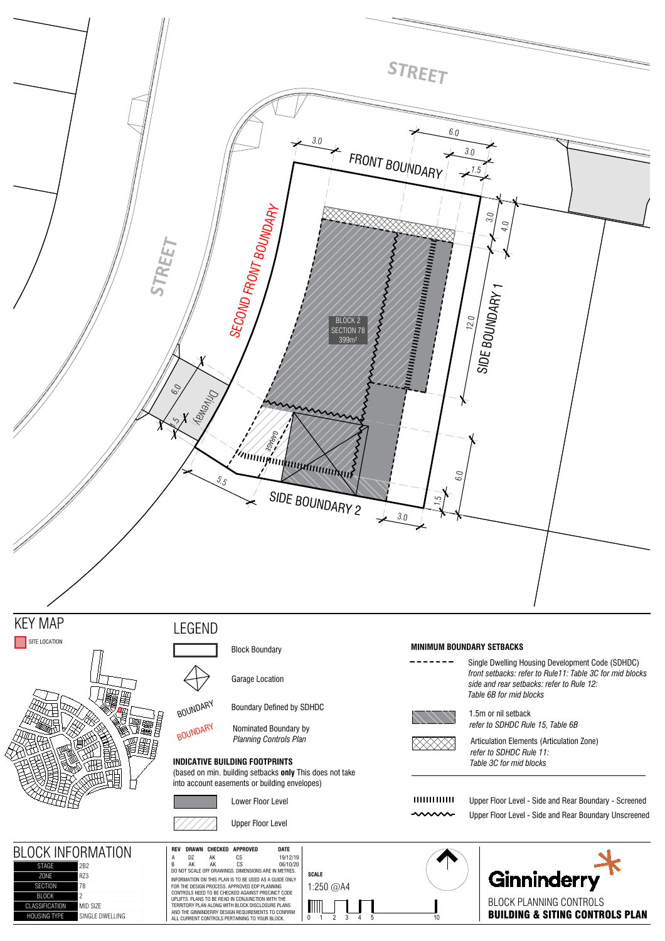